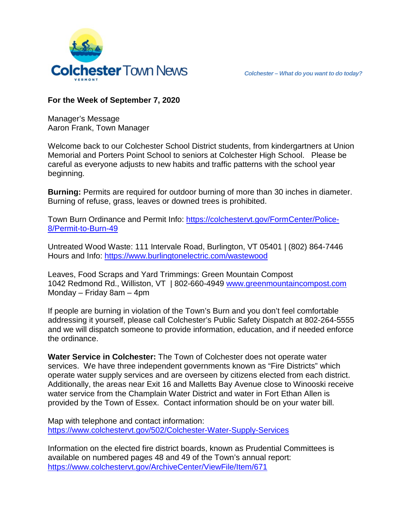

## **For the Week of September 7, 2020**

Manager's Message Aaron Frank, Town Manager

Welcome back to our Colchester School District students, from kindergartners at Union Memorial and Porters Point School to seniors at Colchester High School. Please be careful as everyone adjusts to new habits and traffic patterns with the school year beginning.

**Burning:** Permits are required for outdoor burning of more than 30 inches in diameter. Burning of refuse, grass, leaves or downed trees is prohibited.

Town Burn Ordinance and Permit Info: [https://colchestervt.gov/FormCenter/Police-](https://colchestervt.gov/FormCenter/Police-8/Permit-to-Burn-49)[8/Permit-to-Burn-49](https://colchestervt.gov/FormCenter/Police-8/Permit-to-Burn-49)

Untreated Wood Waste: 111 Intervale Road, Burlington, VT 05401 | (802) 864-7446 Hours and Info:<https://www.burlingtonelectric.com/wastewood>

Leaves, Food Scraps and Yard Trimmings: Green Mountain Compost 1042 Redmond Rd., Williston, VT | 802-660-4949 [www.greenmountaincompost.com](http://www.greenmountaincompost.com/) Monday – Friday 8am – 4pm

If people are burning in violation of the Town's Burn and you don't feel comfortable addressing it yourself, please call Colchester's Public Safety Dispatch at 802-264-5555 and we will dispatch someone to provide information, education, and if needed enforce the ordinance.

**Water Service in Colchester:** The Town of Colchester does not operate water services. We have three independent governments known as "Fire Districts" which operate water supply services and are overseen by citizens elected from each district. Additionally, the areas near Exit 16 and Malletts Bay Avenue close to Winooski receive water service from the Champlain Water District and water in Fort Ethan Allen is provided by the Town of Essex. Contact information should be on your water bill.

Map with telephone and contact information: <https://www.colchestervt.gov/502/Colchester-Water-Supply-Services>

Information on the elected fire district boards, known as Prudential Committees is available on numbered pages 48 and 49 of the Town's annual report: <https://www.colchestervt.gov/ArchiveCenter/ViewFile/Item/671>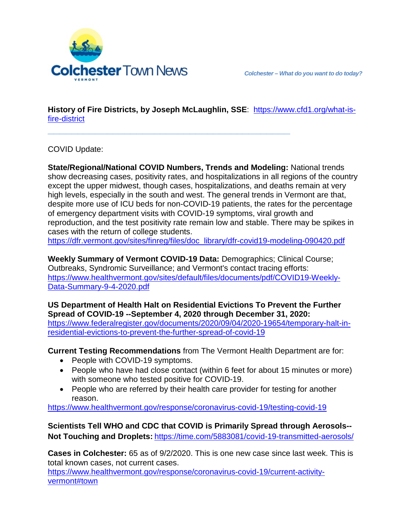

**History of Fire Districts, by Joseph McLaughlin, SSE**: [https://www.cfd1.org/what-is](https://www.cfd1.org/what-is-fire-district)[fire-district](https://www.cfd1.org/what-is-fire-district)

**\_\_\_\_\_\_\_\_\_\_\_\_\_\_\_\_\_\_\_\_\_\_\_\_\_\_\_\_\_\_\_\_\_\_\_\_\_\_\_\_\_**

COVID Update:

**State/Regional/National COVID Numbers, Trends and Modeling:** National trends show decreasing cases, positivity rates, and hospitalizations in all regions of the country except the upper midwest, though cases, hospitalizations, and deaths remain at very high levels, especially in the south and west. The general trends in Vermont are that, despite more use of ICU beds for non-COVID-19 patients, the rates for the percentage of emergency department visits with COVID-19 symptoms, viral growth and reproduction, and the test positivity rate remain low and stable. There may be spikes in cases with the return of college students.

https://dfr.vermont.gov/sites/finreg/files/doc\_library/dfr-covid19-modeling-090420.pdf

**Weekly Summary of Vermont COVID-19 Data:** Demographics; Clinical Course; Outbreaks, Syndromic Surveillance; and Vermont's contact tracing efforts: [https://www.healthvermont.gov/sites/default/files/documents/pdf/COVID19-Weekly-](https://www.healthvermont.gov/sites/default/files/documents/pdf/COVID19-Weekly-Data-Summary-9-4-2020.pdf)[Data-Summary-9-4-2020.pdf](https://www.healthvermont.gov/sites/default/files/documents/pdf/COVID19-Weekly-Data-Summary-9-4-2020.pdf)

**US Department of Health Halt on Residential Evictions To Prevent the Further Spread of COVID-19 --September 4, 2020 through December 31, 2020:** 

[https://www.federalregister.gov/documents/2020/09/04/2020-19654/temporary-halt-in](https://www.federalregister.gov/documents/2020/09/04/2020-19654/temporary-halt-in-residential-evictions-to-prevent-the-further-spread-of-covid-19)[residential-evictions-to-prevent-the-further-spread-of-covid-19](https://www.federalregister.gov/documents/2020/09/04/2020-19654/temporary-halt-in-residential-evictions-to-prevent-the-further-spread-of-covid-19)

**Current Testing Recommendations** from The Vermont Health Department are for:

- People with COVID-19 symptoms.
- People who have had close contact (within 6 feet for about 15 minutes or more) with someone who tested positive for COVID-19.
- People who are referred by their health care provider for testing for another reason.

<https://www.healthvermont.gov/response/coronavirus-covid-19/testing-covid-19>

**Scientists Tell WHO and CDC that COVID is Primarily Spread through Aerosols-- Not Touching and Droplets:** <https://time.com/5883081/covid-19-transmitted-aerosols/>

**Cases in Colchester:** 65 as of 9/2/2020. This is one new case since last week. This is total known cases, not current cases.

[https://www.healthvermont.gov/response/coronavirus-covid-19/current-activity](https://www.healthvermont.gov/response/coronavirus-covid-19/current-activity-vermont#town)[vermont#town](https://www.healthvermont.gov/response/coronavirus-covid-19/current-activity-vermont#town)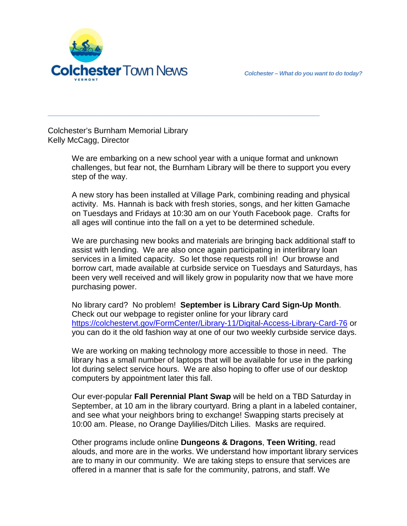

Colchester's Burnham Memorial Library Kelly McCagg, Director

> We are embarking on a new school year with a unique format and unknown challenges, but fear not, the Burnham Library will be there to support you every step of the way.

**\_\_\_\_\_\_\_\_\_\_\_\_\_\_\_\_\_\_\_\_\_\_\_\_\_\_\_\_\_\_\_\_\_\_\_\_\_\_\_\_\_\_\_\_\_\_**

A new story has been installed at Village Park, combining reading and physical activity. Ms. Hannah is back with fresh stories, songs, and her kitten Gamache on Tuesdays and Fridays at 10:30 am on our Youth Facebook page. Crafts for all ages will continue into the fall on a yet to be determined schedule.

We are purchasing new books and materials are bringing back additional staff to assist with lending. We are also once again participating in interlibrary loan services in a limited capacity. So let those requests roll in! Our browse and borrow cart, made available at curbside service on Tuesdays and Saturdays, has been very well received and will likely grow in popularity now that we have more purchasing power.

No library card? No problem! **September is Library Card Sign-Up Month**. Check out our webpage to register online for your library card <https://colchestervt.gov/FormCenter/Library-11/Digital-Access-Library-Card-76> or you can do it the old fashion way at one of our two weekly curbside service days.

We are working on making technology more accessible to those in need. The library has a small number of laptops that will be available for use in the parking lot during select service hours. We are also hoping to offer use of our desktop computers by appointment later this fall.

Our ever-popular **Fall Perennial Plant Swap** will be held on a TBD Saturday in September, at 10 am in the library courtyard. Bring a plant in a labeled container, and see what your neighbors bring to exchange! Swapping starts precisely at 10:00 am. Please, no Orange Daylilies/Ditch Lilies. Masks are required.

Other programs include online **Dungeons & Dragons**, **Teen Writing**, read alouds, and more are in the works. We understand how important library services are to many in our community. We are taking steps to ensure that services are offered in a manner that is safe for the community, patrons, and staff. We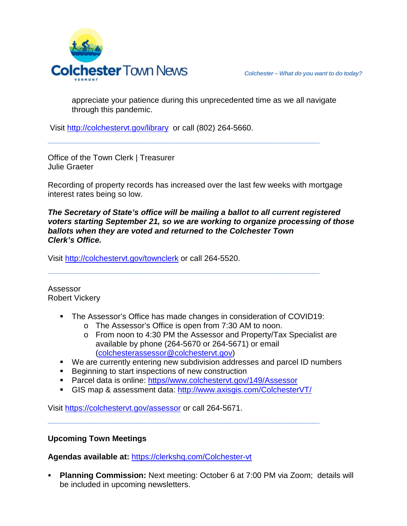

appreciate your patience during this unprecedented time as we all navigate through this pandemic.

Visit<http://colchestervt.gov/library> or call (802) 264-5660.

Office of the Town Clerk | Treasurer Julie Graeter

Recording of property records has increased over the last few weeks with mortgage interest rates being so low.

**\_\_\_\_\_\_\_\_\_\_\_\_\_\_\_\_\_\_\_\_\_\_\_\_\_\_\_\_\_\_\_\_\_\_\_\_\_\_\_\_\_\_\_\_\_\_**

*The Secretary of State's office will be mailing a ballot to all current registered voters starting September 21, so we are working to organize processing of those ballots when they are voted and returned to the Colchester Town Clerk's Office.*

Visit <http://colchestervt.gov/townclerk> or call 264-5520.

Assessor Robert Vickery

- The Assessor's Office has made changes in consideration of COVID19:
	- o The Assessor's Office is open from 7:30 AM to noon.

**\_\_\_\_\_\_\_\_\_\_\_\_\_\_\_\_\_\_\_\_\_\_\_\_\_\_\_\_\_\_\_\_\_\_\_\_\_\_\_\_\_\_\_\_\_\_**

- o From noon to 4:30 PM the Assessor and Property/Tax Specialist are available by phone (264-5670 or 264-5671) or email [\(colchesterassessor@colchestervt.gov\)](mailto:colchesterassessor@colchestervt.gov)
- We are currently entering new subdivision addresses and parcel ID numbers
- **Beginning to start inspections of new construction**
- Parcel data is online: https//www.colchestervt.gov/149/Assessor
- GIS map & assessment data:<http://www.axisgis.com/ColchesterVT/>

**\_\_\_\_\_\_\_\_\_\_\_\_\_\_\_\_\_\_\_\_\_\_\_\_\_\_\_\_\_\_\_\_\_\_\_\_\_\_\_\_\_\_\_\_\_\_**

Visit<https://colchestervt.gov/assessor> or call 264-5671.

## **Upcoming Town Meetings**

**Agendas available at:** <https://clerkshq.com/Colchester-vt>

 **Planning Commission:** Next meeting: October 6 at 7:00 PM via Zoom; details will be included in upcoming newsletters.